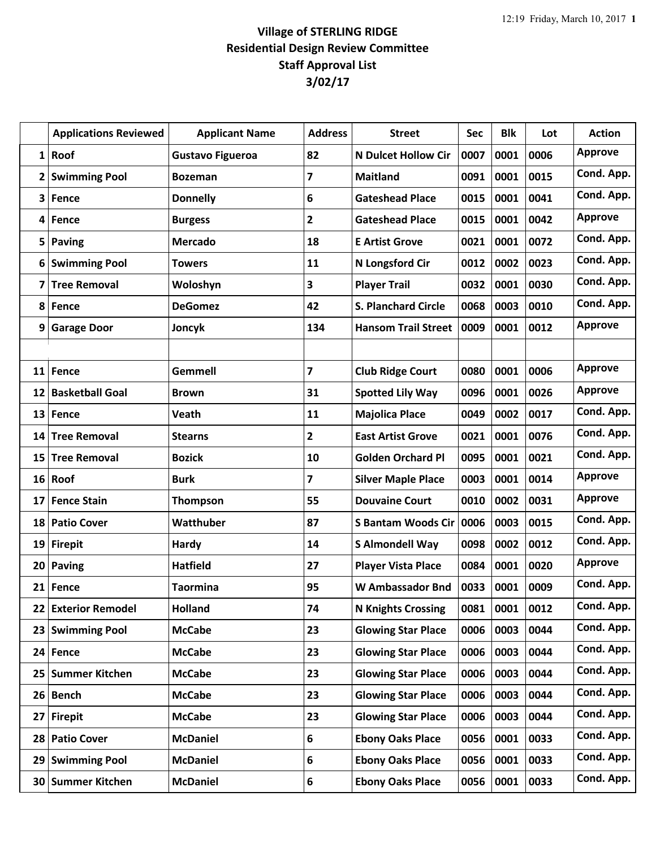## **Village of STERLING RIDGE Residential Design Review Committee Staff Approval List 3/02/17**

|                         | <b>Applications Reviewed</b> | <b>Applicant Name</b>   | <b>Address</b>          | <b>Street</b>              | Sec  | <b>Blk</b> | Lot  | <b>Action</b>  |
|-------------------------|------------------------------|-------------------------|-------------------------|----------------------------|------|------------|------|----------------|
| $1\vert$                | Roof                         | <b>Gustavo Figueroa</b> | 82                      | <b>N Dulcet Hollow Cir</b> | 0007 | 0001       | 0006 | <b>Approve</b> |
| $\overline{\mathbf{2}}$ | <b>Swimming Pool</b>         | <b>Bozeman</b>          | $\overline{\mathbf{z}}$ | <b>Maitland</b>            | 0091 | 0001       | 0015 | Cond. App.     |
| 3                       | Fence                        | <b>Donnelly</b>         | 6                       | <b>Gateshead Place</b>     | 0015 | 0001       | 0041 | Cond. App.     |
| 4                       | Fence                        | <b>Burgess</b>          | $\overline{2}$          | <b>Gateshead Place</b>     | 0015 | 0001       | 0042 | <b>Approve</b> |
| 5                       | <b>Paving</b>                | <b>Mercado</b>          | 18                      | <b>E Artist Grove</b>      | 0021 | 0001       | 0072 | Cond. App.     |
| 6                       | <b>Swimming Pool</b>         | <b>Towers</b>           | 11                      | N Longsford Cir            | 0012 | 0002       | 0023 | Cond. App.     |
| 7                       | <b>Tree Removal</b>          | Woloshyn                | 3                       | <b>Player Trail</b>        | 0032 | 0001       | 0030 | Cond. App.     |
| 8                       | <b>Fence</b>                 | <b>DeGomez</b>          | 42                      | <b>S. Planchard Circle</b> | 0068 | 0003       | 0010 | Cond. App.     |
| 9                       | <b>Garage Door</b>           | Joncyk                  | 134                     | <b>Hansom Trail Street</b> | 0009 | 0001       | 0012 | <b>Approve</b> |
|                         |                              |                         |                         |                            |      |            |      |                |
| 11                      | Fence                        | <b>Gemmell</b>          | $\overline{\mathbf{z}}$ | <b>Club Ridge Court</b>    | 0080 | 0001       | 0006 | <b>Approve</b> |
| 12                      | <b>Basketball Goal</b>       | <b>Brown</b>            | 31                      | <b>Spotted Lily Way</b>    | 0096 | 0001       | 0026 | <b>Approve</b> |
| 13                      | Fence                        | Veath                   | 11                      | <b>Majolica Place</b>      | 0049 | 0002       | 0017 | Cond. App.     |
| 14                      | <b>Tree Removal</b>          | <b>Stearns</b>          | $\mathbf{2}$            | <b>East Artist Grove</b>   | 0021 | 0001       | 0076 | Cond. App.     |
| 15                      | <b>Tree Removal</b>          | <b>Bozick</b>           | 10                      | <b>Golden Orchard Pl</b>   | 0095 | 0001       | 0021 | Cond. App.     |
| 16                      | Roof                         | <b>Burk</b>             | $\overline{\mathbf{z}}$ | <b>Silver Maple Place</b>  | 0003 | 0001       | 0014 | <b>Approve</b> |
| 17                      | <b>Fence Stain</b>           | <b>Thompson</b>         | 55                      | <b>Douvaine Court</b>      | 0010 | 0002       | 0031 | <b>Approve</b> |
| 18                      | <b>Patio Cover</b>           | Watthuber               | 87                      | <b>S Bantam Woods Cir</b>  | 0006 | 0003       | 0015 | Cond. App.     |
| 19                      | <b>Firepit</b>               | Hardy                   | 14                      | <b>S Almondell Way</b>     | 0098 | 0002       | 0012 | Cond. App.     |
| 20 <sub>1</sub>         | Paving                       | <b>Hatfield</b>         | 27                      | <b>Player Vista Place</b>  | 0084 | 0001       | 0020 | <b>Approve</b> |
| 21                      | Fence                        | <b>Taormina</b>         | 95                      | <b>W Ambassador Bnd</b>    | 0033 | 0001       | 0009 | Cond. App.     |
| 22                      | <b>Exterior Remodel</b>      | <b>Holland</b>          | 74                      | <b>N Knights Crossing</b>  | 0081 | 0001       | 0012 | Cond. App.     |
| 23                      | <b>Swimming Pool</b>         | <b>McCabe</b>           | 23                      | <b>Glowing Star Place</b>  | 0006 | 0003       | 0044 | Cond. App.     |
| 24                      | Fence                        | <b>McCabe</b>           | 23                      | <b>Glowing Star Place</b>  | 0006 | 0003       | 0044 | Cond. App.     |
| 25 <sub>1</sub>         | <b>Summer Kitchen</b>        | <b>McCabe</b>           | 23                      | <b>Glowing Star Place</b>  | 0006 | 0003       | 0044 | Cond. App.     |
| 26 <sup>1</sup>         | <b>Bench</b>                 | <b>McCabe</b>           | 23                      | <b>Glowing Star Place</b>  | 0006 | 0003       | 0044 | Cond. App.     |
| 27                      | <b>Firepit</b>               | <b>McCabe</b>           | 23                      | <b>Glowing Star Place</b>  | 0006 | 0003       | 0044 | Cond. App.     |
| 28                      | <b>Patio Cover</b>           | <b>McDaniel</b>         | 6                       | <b>Ebony Oaks Place</b>    | 0056 | 0001       | 0033 | Cond. App.     |
| 29                      | <b>Swimming Pool</b>         | <b>McDaniel</b>         | 6                       | <b>Ebony Oaks Place</b>    | 0056 | 0001       | 0033 | Cond. App.     |
| 30                      | <b>Summer Kitchen</b>        | <b>McDaniel</b>         | 6                       | <b>Ebony Oaks Place</b>    | 0056 | 0001       | 0033 | Cond. App.     |